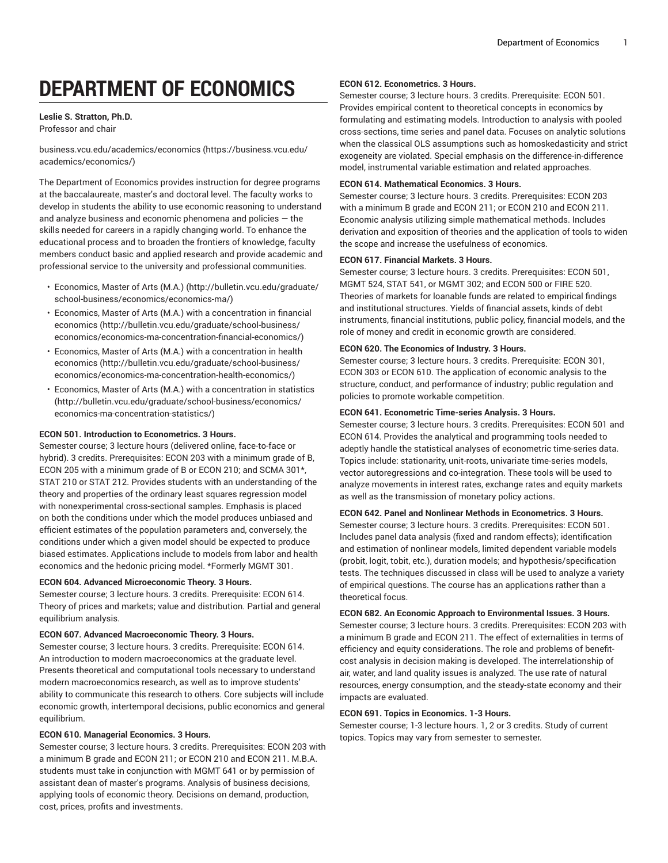# **DEPARTMENT OF ECONOMICS**

# **Leslie S. Stratton, Ph.D.**

Professor and chair

[business.vcu.edu/academics/economics](https://business.vcu.edu/academics/economics/) ([https://business.vcu.edu/](https://business.vcu.edu/academics/economics/) [academics/economics/](https://business.vcu.edu/academics/economics/))

The Department of Economics provides instruction for degree programs at the baccalaureate, master's and doctoral level. The faculty works to develop in students the ability to use economic reasoning to understand and analyze business and economic phenomena and policies  $-$  the skills needed for careers in a rapidly changing world. To enhance the educational process and to broaden the frontiers of knowledge, faculty members conduct basic and applied research and provide academic and professional service to the university and professional communities.

- [Economics,](http://bulletin.vcu.edu/graduate/school-business/economics/economics-ma/) Master of Arts (M.A.) [\(http://bulletin.vcu.edu/graduate/](http://bulletin.vcu.edu/graduate/school-business/economics/economics-ma/) [school-business/economics/economics-ma/](http://bulletin.vcu.edu/graduate/school-business/economics/economics-ma/))
- Economics, Master of Arts (M.A.) with a [concentration](http://bulletin.vcu.edu/graduate/school-business/economics/economics-ma-concentration-financial-economics/) in financial [economics \(http://bulletin.vcu.edu/graduate/school-business/](http://bulletin.vcu.edu/graduate/school-business/economics/economics-ma-concentration-financial-economics/) [economics/economics-ma-concentration-financial-economics/\)](http://bulletin.vcu.edu/graduate/school-business/economics/economics-ma-concentration-financial-economics/)
- Economics, Master of Arts (M.A.) with a [concentration](http://bulletin.vcu.edu/graduate/school-business/economics/economics-ma-concentration-health-economics/) in health [economics \(http://bulletin.vcu.edu/graduate/school-business/](http://bulletin.vcu.edu/graduate/school-business/economics/economics-ma-concentration-health-economics/) [economics/economics-ma-concentration-health-economics/\)](http://bulletin.vcu.edu/graduate/school-business/economics/economics-ma-concentration-health-economics/)
- Economics, Master of Arts (M.A.) with a [concentration](http://bulletin.vcu.edu/graduate/school-business/economics/economics-ma-concentration-statistics/) in statistics ([http://bulletin.vcu.edu/graduate/school-business/economics/](http://bulletin.vcu.edu/graduate/school-business/economics/economics-ma-concentration-statistics/) [economics-ma-concentration-statistics/](http://bulletin.vcu.edu/graduate/school-business/economics/economics-ma-concentration-statistics/))

#### **ECON 501. Introduction to Econometrics. 3 Hours.**

Semester course; 3 lecture hours (delivered online, face-to-face or hybrid). 3 credits. Prerequisites: ECON 203 with a minimum grade of B, ECON 205 with a minimum grade of B or ECON 210; and SCMA 301\*, STAT 210 or STAT 212. Provides students with an understanding of the theory and properties of the ordinary least squares regression model with nonexperimental cross-sectional samples. Emphasis is placed on both the conditions under which the model produces unbiased and efficient estimates of the population parameters and, conversely, the conditions under which a given model should be expected to produce biased estimates. Applications include to models from labor and health economics and the hedonic pricing model. \*Formerly MGMT 301.

#### **ECON 604. Advanced Microeconomic Theory. 3 Hours.**

Semester course; 3 lecture hours. 3 credits. Prerequisite: ECON 614. Theory of prices and markets; value and distribution. Partial and general equilibrium analysis.

#### **ECON 607. Advanced Macroeconomic Theory. 3 Hours.**

Semester course; 3 lecture hours. 3 credits. Prerequisite: ECON 614. An introduction to modern macroeconomics at the graduate level. Presents theoretical and computational tools necessary to understand modern macroeconomics research, as well as to improve students' ability to communicate this research to others. Core subjects will include economic growth, intertemporal decisions, public economics and general equilibrium.

# **ECON 610. Managerial Economics. 3 Hours.**

Semester course; 3 lecture hours. 3 credits. Prerequisites: ECON 203 with a minimum B grade and ECON 211; or ECON 210 and ECON 211. M.B.A. students must take in conjunction with MGMT 641 or by permission of assistant dean of master's programs. Analysis of business decisions, applying tools of economic theory. Decisions on demand, production, cost, prices, profits and investments.

## **ECON 612. Econometrics. 3 Hours.**

Semester course; 3 lecture hours. 3 credits. Prerequisite: ECON 501. Provides empirical content to theoretical concepts in economics by formulating and estimating models. Introduction to analysis with pooled cross-sections, time series and panel data. Focuses on analytic solutions when the classical OLS assumptions such as homoskedasticity and strict exogeneity are violated. Special emphasis on the difference-in-difference model, instrumental variable estimation and related approaches.

#### **ECON 614. Mathematical Economics. 3 Hours.**

Semester course; 3 lecture hours. 3 credits. Prerequisites: ECON 203 with a minimum B grade and ECON 211; or ECON 210 and ECON 211. Economic analysis utilizing simple mathematical methods. Includes derivation and exposition of theories and the application of tools to widen the scope and increase the usefulness of economics.

#### **ECON 617. Financial Markets. 3 Hours.**

Semester course; 3 lecture hours. 3 credits. Prerequisites: ECON 501, MGMT 524, STAT 541, or MGMT 302; and ECON 500 or FIRE 520. Theories of markets for loanable funds are related to empirical findings and institutional structures. Yields of financial assets, kinds of debt instruments, financial institutions, public policy, financial models, and the role of money and credit in economic growth are considered.

## **ECON 620. The Economics of Industry. 3 Hours.**

Semester course; 3 lecture hours. 3 credits. Prerequisite: ECON 301, ECON 303 or ECON 610. The application of economic analysis to the structure, conduct, and performance of industry; public regulation and policies to promote workable competition.

#### **ECON 641. Econometric Time-series Analysis. 3 Hours.**

Semester course; 3 lecture hours. 3 credits. Prerequisites: ECON 501 and ECON 614. Provides the analytical and programming tools needed to adeptly handle the statistical analyses of econometric time-series data. Topics include: stationarity, unit-roots, univariate time-series models, vector autoregressions and co-integration. These tools will be used to analyze movements in interest rates, exchange rates and equity markets as well as the transmission of monetary policy actions.

# **ECON 642. Panel and Nonlinear Methods in Econometrics. 3 Hours.**

Semester course; 3 lecture hours. 3 credits. Prerequisites: ECON 501. Includes panel data analysis (fixed and random effects); identification and estimation of nonlinear models, limited dependent variable models (probit, logit, tobit, etc.), duration models; and hypothesis/specification tests. The techniques discussed in class will be used to analyze a variety of empirical questions. The course has an applications rather than a theoretical focus.

#### **ECON 682. An Economic Approach to Environmental Issues. 3 Hours.**

Semester course; 3 lecture hours. 3 credits. Prerequisites: ECON 203 with a minimum B grade and ECON 211. The effect of externalities in terms of efficiency and equity considerations. The role and problems of benefitcost analysis in decision making is developed. The interrelationship of air, water, and land quality issues is analyzed. The use rate of natural resources, energy consumption, and the steady-state economy and their impacts are evaluated.

#### **ECON 691. Topics in Economics. 1-3 Hours.**

Semester course; 1-3 lecture hours. 1, 2 or 3 credits. Study of current topics. Topics may vary from semester to semester.